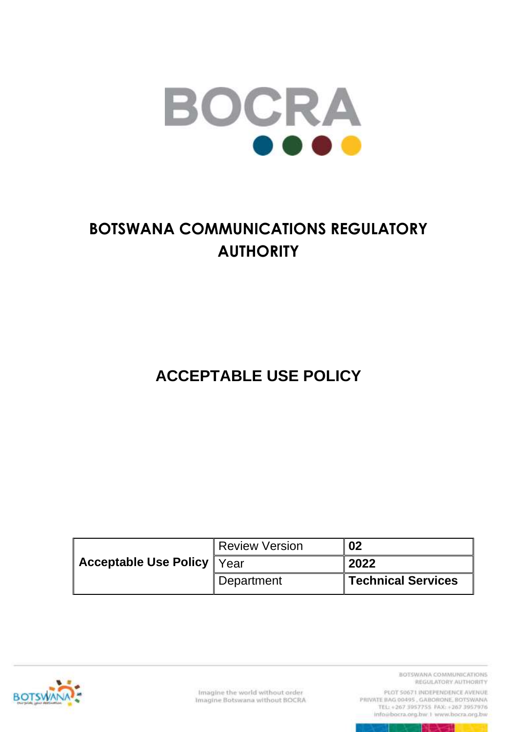

# **BOTSWANA COMMUNICATIONS REGULATORY AUTHORITY**

**ACCEPTABLE USE POLICY**

|                                     | Review Version      | 02                        |
|-------------------------------------|---------------------|---------------------------|
| <b>Acceptable Use Policy   Year</b> |                     | 2022                      |
|                                     | <b>I</b> Department | <b>Technical Services</b> |



Imagine the world without order<br>Imagine Botswana without BOCRA

BOTSWANA COMMUNICATIONS REGULATORY AUTHORITY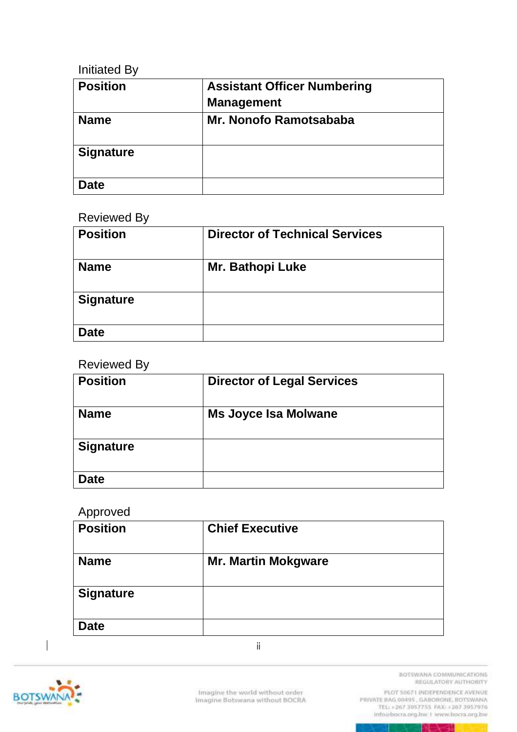#### Initiated By

| <b>Position</b>  | <b>Assistant Officer Numbering</b> |
|------------------|------------------------------------|
|                  | <b>Management</b>                  |
| <b>Name</b>      | Mr. Nonofo Ramotsababa             |
| <b>Signature</b> |                                    |
| Date             |                                    |

#### Reviewed By

| <b>Position</b>  | <b>Director of Technical Services</b> |
|------------------|---------------------------------------|
| <b>Name</b>      | <b>Mr. Bathopi Luke</b>               |
| <b>Signature</b> |                                       |
| <b>Date</b>      |                                       |

#### Reviewed By

| <b>Position</b>  | <b>Director of Legal Services</b> |
|------------------|-----------------------------------|
| <b>Name</b>      | <b>Ms Joyce Isa Molwane</b>       |
| <b>Signature</b> |                                   |
| <b>Date</b>      |                                   |

#### Approved

| <b>Position</b>  | <b>Chief Executive</b>     |
|------------------|----------------------------|
| <b>Name</b>      | <b>Mr. Martin Mokgware</b> |
| <b>Signature</b> |                            |
| <b>Date</b>      |                            |

ii



 $\begin{array}{c} \hline \end{array}$ 

BOTSWANA COMMUNICATIONS REGULATORY AUTHORITY

PLOT 50671 INDEPENDENCE AVENUE info@bocra.org.bw.1 www.bocra.org.bw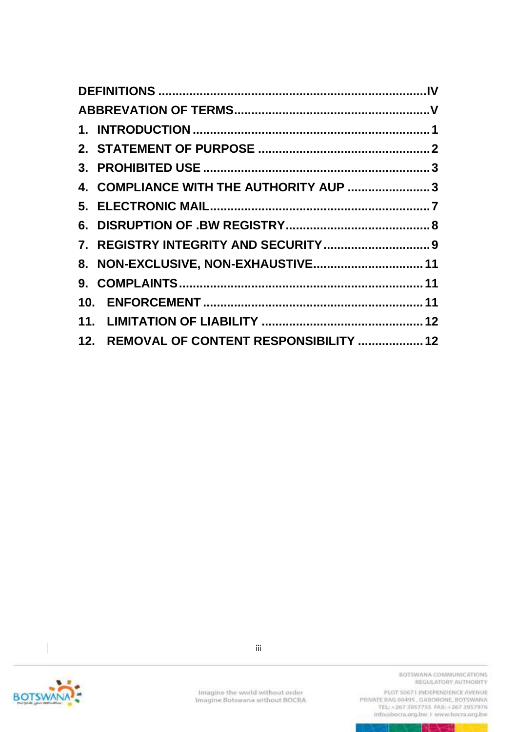| 4. COMPLIANCE WITH THE AUTHORITY AUP  3   |
|-------------------------------------------|
|                                           |
|                                           |
|                                           |
| 8. NON-EXCLUSIVE, NON-EXHAUSTIVE 11       |
|                                           |
|                                           |
|                                           |
| 12. REMOVAL OF CONTENT RESPONSIBILITY  12 |



 $\begin{array}{c} \hline \end{array}$ 

Imagine the world without order<br>Imagine Botswana without BOCRA

BOTSWANA COMMUNICATIONS REGULATORY AUTHORITY

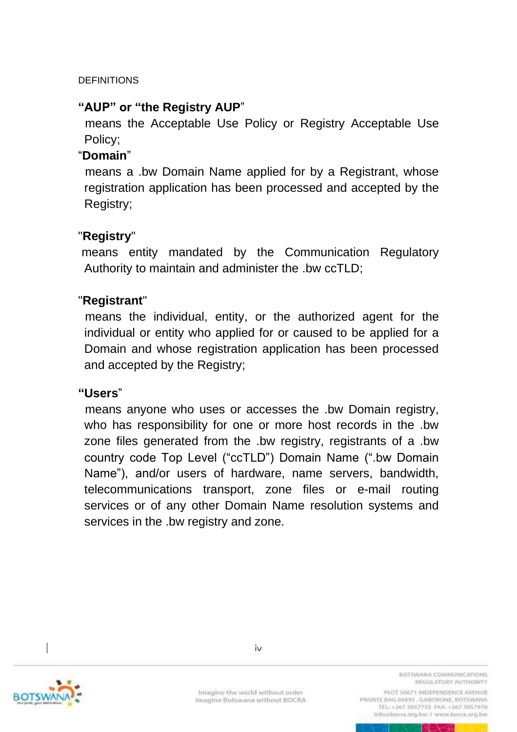#### <span id="page-3-0"></span>**DEFINITIONS**

#### **"AUP" or "the Registry AUP**"

means the Acceptable Use Policy or Registry Acceptable Use Policy;

#### "**Domain**"

means a .bw Domain Name applied for by a Registrant, whose registration application has been processed and accepted by the Registry;

#### "**Registry**"

means entity mandated by the Communication Regulatory Authority to maintain and administer the .bw ccTLD;

#### "**Registrant**"

means the individual, entity, or the authorized agent for the individual or entity who applied for or caused to be applied for a Domain and whose registration application has been processed and accepted by the Registry;

**"Users**"

 means anyone who uses or accesses the .bw Domain registry, who has responsibility for one or more host records in the .bw zone files generated from the .bw registry, registrants of a .bw country code Top Level ("ccTLD") Domain Name (".bw Domain Name"), and/or users of hardware, name servers, bandwidth, telecommunications transport, zone files or e-mail routing services or of any other Domain Name resolution systems and services in the .bw registry and zone.



Imagine the world without order Imagine Botswana without BOCRA BOTSWANA COMMUNICATIONS REGULATORY AUTHORITY

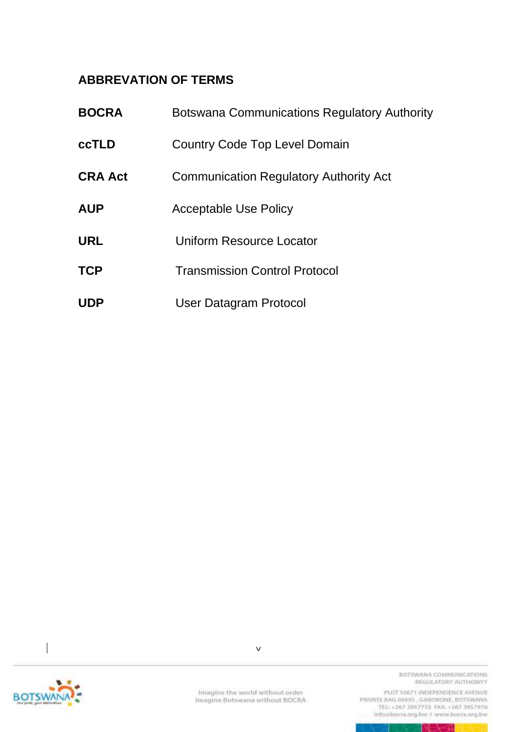### <span id="page-4-0"></span>**ABBREVATION OF TERMS**

| <b>BOCRA</b>   | <b>Botswana Communications Regulatory Authority</b> |
|----------------|-----------------------------------------------------|
| <b>ccTLD</b>   | Country Code Top Level Domain                       |
| <b>CRA Act</b> | <b>Communication Regulatory Authority Act</b>       |
| <b>AUP</b>     | <b>Acceptable Use Policy</b>                        |
| <b>URL</b>     | Uniform Resource Locator                            |
| <b>TCP</b>     | <b>Transmission Control Protocol</b>                |
| <b>UDP</b>     | User Datagram Protocol                              |



v

BOTSWANA COMMUNICATIONS REGULATORY AUTHORITY

 $\mathbb{R}^n \times \mathbb{R}^n$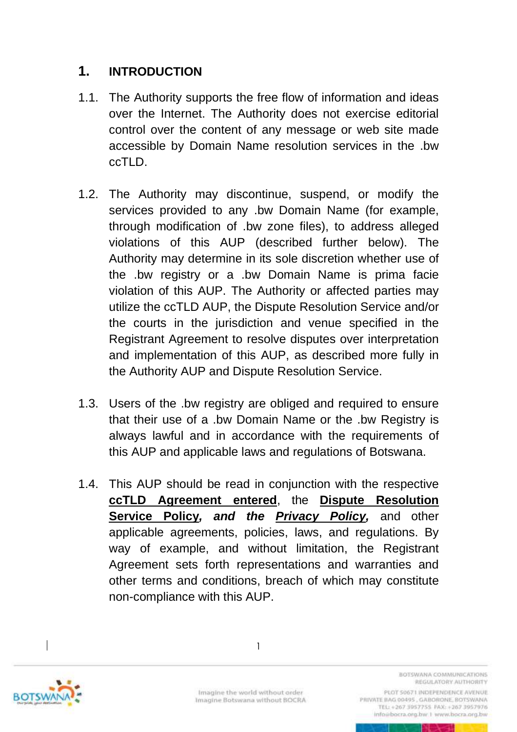### <span id="page-5-0"></span>**1. INTRODUCTION**

- 1.1. The Authority supports the free flow of information and ideas over the Internet. The Authority does not exercise editorial control over the content of any message or web site made accessible by Domain Name resolution services in the .bw ccTLD.
- 1.2. The Authority may discontinue, suspend, or modify the services provided to any .bw Domain Name (for example, through modification of .bw zone files), to address alleged violations of this AUP (described further below). The Authority may determine in its sole discretion whether use of the .bw registry or a .bw Domain Name is prima facie violation of this AUP. The Authority or affected parties may utilize the ccTLD AUP, the Dispute Resolution Service and/or the courts in the jurisdiction and venue specified in the Registrant Agreement to resolve disputes over interpretation and implementation of this AUP, as described more fully in the Authority AUP and Dispute Resolution Service.
- 1.3. Users of the .bw registry are obliged and required to ensure that their use of a .bw Domain Name or the .bw Registry is always lawful and in accordance with the requirements of this AUP and applicable laws and regulations of Botswana.
- 1.4. This AUP should be read in conjunction with the respective **ccTLD Agreement entered**, the **Dispute Resolution Service Policy***, and the Privacy Policy,* and other applicable agreements, policies, laws, and regulations. By way of example, and without limitation, the Registrant Agreement sets forth representations and warranties and other terms and conditions, breach of which may constitute non-compliance with this AUP.



1

BOTSWANA COMMUNICATIONS REGULATORY AUTHORITY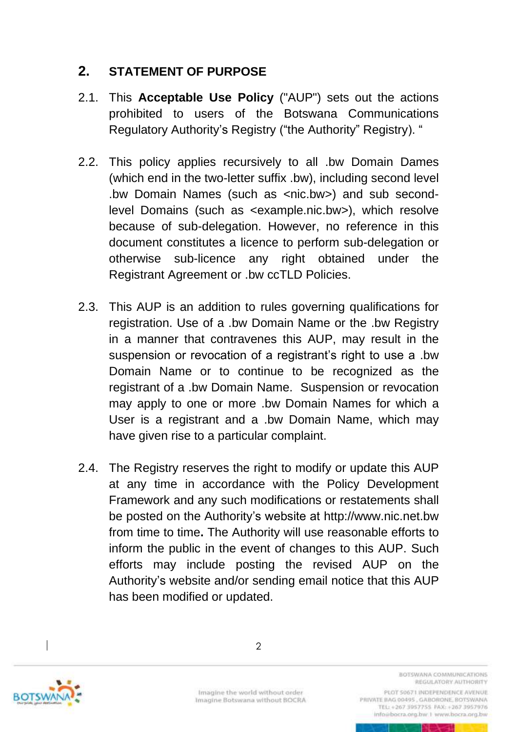## <span id="page-6-0"></span>**2. STATEMENT OF PURPOSE**

- 2.1. This **Acceptable Use Policy** ("AUP") sets out the actions prohibited to users of the Botswana Communications Regulatory Authority's Registry ("the Authority" Registry). "
- 2.2. This policy applies recursively to all .bw Domain Dames (which end in the two-letter suffix .bw), including second level .bw Domain Names (such as <nic.bw>) and sub secondlevel Domains (such as <example.nic.bw>), which resolve because of sub-delegation. However, no reference in this document constitutes a licence to perform sub-delegation or otherwise sub-licence any right obtained under the Registrant Agreement or .bw ccTLD Policies.
- 2.3. This AUP is an addition to rules governing qualifications for registration. Use of a .bw Domain Name or the .bw Registry in a manner that contravenes this AUP, may result in the suspension or revocation of a registrant's right to use a .bw Domain Name or to continue to be recognized as the registrant of a .bw Domain Name. Suspension or revocation may apply to one or more .bw Domain Names for which a User is a registrant and a .bw Domain Name, which may have given rise to a particular complaint.
- 2.4. The Registry reserves the right to modify or update this AUP at any time in accordance with the Policy Development Framework and any such modifications or restatements shall be posted on the Authority's website at http://www.nic.net.bw from time to time**.** The Authority will use reasonable efforts to inform the public in the event of changes to this AUP. Such efforts may include posting the revised AUP on the Authority's website and/or sending email notice that this AUP has been modified or updated.



Imagine the world without order Imagine Botswana without BOCRA BOTSWANA COMMUNICATIONS REGULATORY AUTHORITY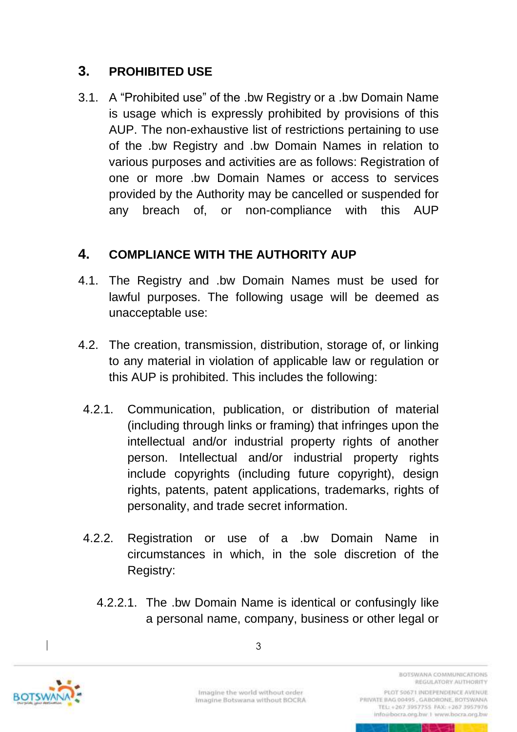## <span id="page-7-0"></span>**3. PROHIBITED USE**

3.1. A "Prohibited use" of the .bw Registry or a .bw Domain Name is usage which is expressly prohibited by provisions of this AUP. The non-exhaustive list of restrictions pertaining to use of the .bw Registry and .bw Domain Names in relation to various purposes and activities are as follows: Registration of one or more .bw Domain Names or access to services provided by the Authority may be cancelled or suspended for any breach of, or non-compliance with this AUP

### <span id="page-7-1"></span>**4. COMPLIANCE WITH THE AUTHORITY AUP**

- 4.1. The Registry and .bw Domain Names must be used for lawful purposes. The following usage will be deemed as unacceptable use:
- 4.2. The creation, transmission, distribution, storage of, or linking to any material in violation of applicable law or regulation or this AUP is prohibited. This includes the following:
- 4.2.1. Communication, publication, or distribution of material (including through links or framing) that infringes upon the intellectual and/or industrial property rights of another person. Intellectual and/or industrial property rights include copyrights (including future copyright), design rights, patents, patent applications, trademarks, rights of personality, and trade secret information.
- 4.2.2. Registration or use of a .bw Domain Name in circumstances in which, in the sole discretion of the Registry:
	- 4.2.2.1. The .bw Domain Name is identical or confusingly like a personal name, company, business or other legal or



Imagine the world without order Imagine Botswana without BOCRA

REGULATORY AUTHORITY PLOT 50671 INDEPENDENCE AVENUE PRIVATE BAG 00495, GABORONE, BOTSWANA TEL: +267 3957755 FAX: +267 3957976 info@bocra.org.bw.1 www.bocra.org.bw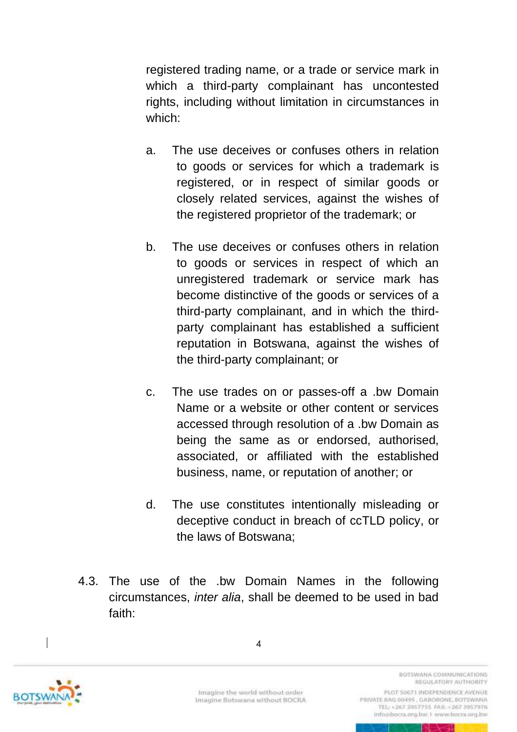registered trading name, or a trade or service mark in which a third-party complainant has uncontested rights, including without limitation in circumstances in which:

- a. The use deceives or confuses others in relation to goods or services for which a trademark is registered, or in respect of similar goods or closely related services, against the wishes of the registered proprietor of the trademark; or
- b. The use deceives or confuses others in relation to goods or services in respect of which an unregistered trademark or service mark has become distinctive of the goods or services of a third-party complainant, and in which the thirdparty complainant has established a sufficient reputation in Botswana, against the wishes of the third-party complainant; or
- c. The use trades on or passes-off a .bw Domain Name or a website or other content or services accessed through resolution of a .bw Domain as being the same as or endorsed, authorised, associated, or affiliated with the established business, name, or reputation of another; or
- d. The use constitutes intentionally misleading or deceptive conduct in breach of ccTLD policy, or the laws of Botswana;
- 4.3. The use of the .bw Domain Names in the following circumstances, *inter alia*, shall be deemed to be used in bad faith:



Imagine the world without order Imagine Botswana without BOCRA

REGULATORY AUTHORITY PLOT 50671 INDEPENDENCE AVENUE

BOTSWANA COMMUNICATIONS

PRIVATE BAG 00495, GABORONE, BOTSWANA TEL: +267 3957755 FAX: +267 3957976 info@bocra.org.bw.1 www.bocra.org.bw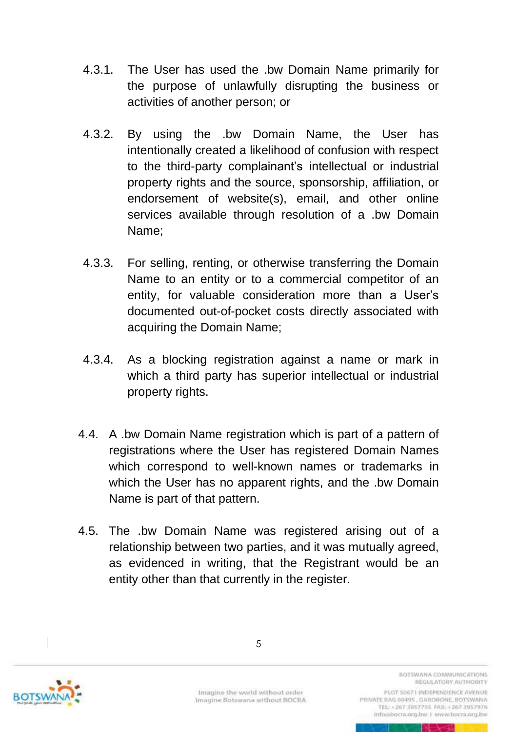- 4.3.1. The User has used the .bw Domain Name primarily for the purpose of unlawfully disrupting the business or activities of another person; or
- 4.3.2. By using the .bw Domain Name, the User has intentionally created a likelihood of confusion with respect to the third-party complainant's intellectual or industrial property rights and the source, sponsorship, affiliation, or endorsement of website(s), email, and other online services available through resolution of a .bw Domain Name;
- 4.3.3. For selling, renting, or otherwise transferring the Domain Name to an entity or to a commercial competitor of an entity, for valuable consideration more than a User's documented out-of-pocket costs directly associated with acquiring the Domain Name;
- 4.3.4. As a blocking registration against a name or mark in which a third party has superior intellectual or industrial property rights.
- 4.4. A .bw Domain Name registration which is part of a pattern of registrations where the User has registered Domain Names which correspond to well-known names or trademarks in which the User has no apparent rights, and the .bw Domain Name is part of that pattern.
- 4.5. The .bw Domain Name was registered arising out of a relationship between two parties, and it was mutually agreed, as evidenced in writing, that the Registrant would be an entity other than that currently in the register.



Imagine the world without order Imagine Botswana without BOCRA

REGULATORY AUTHORITY PLOT 50671 INDEPENDENCE AVENUE PRIVATE BAG 00495, GABORONE, BOTSWANA TEL: +267 3957755 FAX: +267 3957976

info@bocra.org.bw.1 www.bocra.org.bw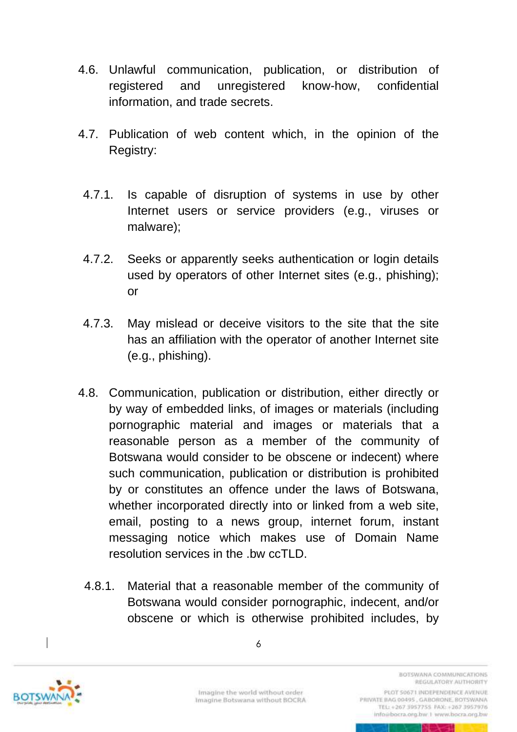- 4.6. Unlawful communication, publication, or distribution of registered and unregistered know-how, confidential information, and trade secrets.
- 4.7. Publication of web content which, in the opinion of the Registry:
- 4.7.1. Is capable of disruption of systems in use by other Internet users or service providers (e.g., viruses or malware);
- 4.7.2. Seeks or apparently seeks authentication or login details used by operators of other Internet sites (e.g., phishing); or
- 4.7.3. May mislead or deceive visitors to the site that the site has an affiliation with the operator of another Internet site (e.g., phishing).
- 4.8. Communication, publication or distribution, either directly or by way of embedded links, of images or materials (including pornographic material and images or materials that a reasonable person as a member of the community of Botswana would consider to be obscene or indecent) where such communication, publication or distribution is prohibited by or constitutes an offence under the laws of Botswana, whether incorporated directly into or linked from a web site, email, posting to a news group, internet forum, instant messaging notice which makes use of Domain Name resolution services in the .bw ccTLD.
	- 4.8.1. Material that a reasonable member of the community of Botswana would consider pornographic, indecent, and/or obscene or which is otherwise prohibited includes, by



Imagine the world without order Imagine Botswana without BOCRA

REGULATORY AUTHORITY PLOT 50671 INDEPENDENCE AVENUE PRIVATE BAG 00495, GABORONE, BOTSWANA TEL: +267 3957755 FAX: +267 3957976 info@bocra.org.bw.1 www.bocra.org.bw

BOTSWANA COMMUNICATIONS

6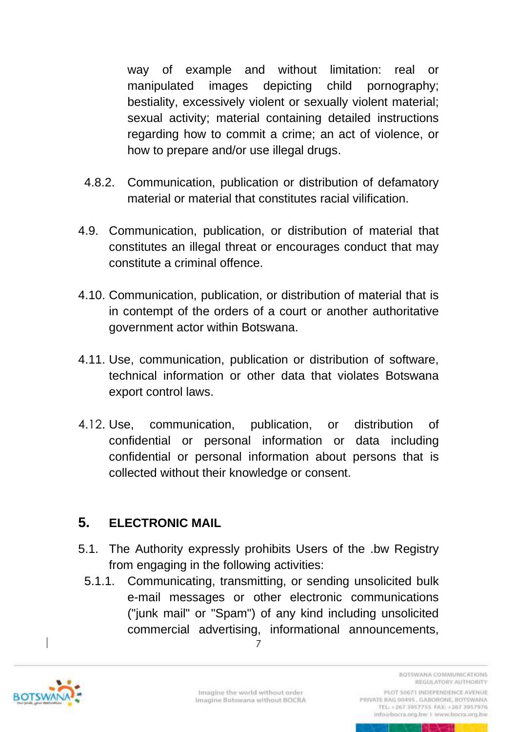way of example and without limitation: real or manipulated images depicting child pornography; bestiality, excessively violent or sexually violent material; sexual activity; material containing detailed instructions regarding how to commit a crime; an act of violence, or how to prepare and/or use illegal drugs.

- 4.8.2. Communication, publication or distribution of defamatory material or material that constitutes racial vilification.
- 4.9. Communication, publication, or distribution of material that constitutes an illegal threat or encourages conduct that may constitute a criminal offence.
- 4.10. Communication, publication, or distribution of material that is in contempt of the orders of a court or another authoritative government actor within Botswana.
- 4.11. Use, communication, publication or distribution of software, technical information or other data that violates Botswana export control laws.
- 4.12. Use, communication, publication, or distribution of confidential or personal information or data including confidential or personal information about persons that is collected without their knowledge or consent.

### <span id="page-11-0"></span>**5. ELECTRONIC MAIL**

- 5.1. The Authority expressly prohibits Users of the .bw Registry from engaging in the following activities:
	- 5.1.1. Communicating, transmitting, or sending unsolicited bulk e-mail messages or other electronic communications ("junk mail" or "Spam") of any kind including unsolicited commercial advertising, informational announcements,

7



REGULATORY AUTHORITY PLOT 50671 INDEPENDENCE AVENUE PRIVATE BAG 00495, GABORONE, BOTSWANA TEL: +267 3957755 FAX: +267 3957976 info@bocra.org.bw.1 www.bocra.org.bw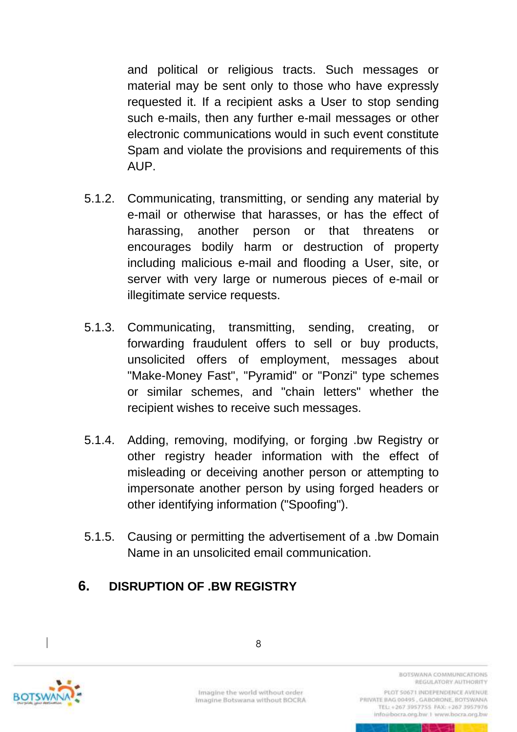and political or religious tracts. Such messages or material may be sent only to those who have expressly requested it. If a recipient asks a User to stop sending such e-mails, then any further e-mail messages or other electronic communications would in such event constitute Spam and violate the provisions and requirements of this AUP.

- 5.1.2. Communicating, transmitting, or sending any material by e-mail or otherwise that harasses, or has the effect of harassing, another person or that threatens or encourages bodily harm or destruction of property including malicious e-mail and flooding a User, site, or server with very large or numerous pieces of e-mail or illegitimate service requests.
- 5.1.3. Communicating, transmitting, sending, creating, or forwarding fraudulent offers to sell or buy products, unsolicited offers of employment, messages about "Make-Money Fast", "Pyramid" or "Ponzi" type schemes or similar schemes, and "chain letters" whether the recipient wishes to receive such messages.
- 5.1.4. Adding, removing, modifying, or forging .bw Registry or other registry header information with the effect of misleading or deceiving another person or attempting to impersonate another person by using forged headers or other identifying information ("Spoofing").
- 5.1.5. Causing or permitting the advertisement of a .bw Domain Name in an unsolicited email communication.

### <span id="page-12-0"></span>**6. DISRUPTION OF .BW REGISTRY**



Imagine the world without order Imagine Botswana without BOCRA

REGULATORY AUTHORITY PLOT 50671 INDEPENDENCE AVENUE PRIVATE BAG 00495, GABORONE, BOTSWANA TEL: +267 3957755 FAX: +267 3957976

info@bocra.org.bw.1 www.bocra.org.bw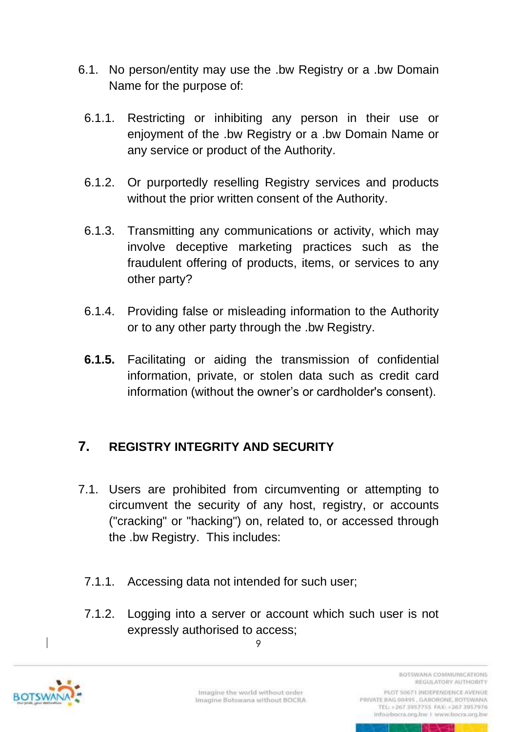- 6.1. No person/entity may use the .bw Registry or a .bw Domain Name for the purpose of:
- 6.1.1. Restricting or inhibiting any person in their use or enjoyment of the .bw Registry or a .bw Domain Name or any service or product of the Authority.
- 6.1.2. Or purportedly reselling Registry services and products without the prior written consent of the Authority.
- 6.1.3. Transmitting any communications or activity, which may involve deceptive marketing practices such as the fraudulent offering of products, items, or services to any other party?
- 6.1.4. Providing false or misleading information to the Authority or to any other party through the .bw Registry.
- **6.1.5.** Facilitating or aiding the transmission of confidential information, private, or stolen data such as credit card information (without the owner's or cardholder's consent).

### <span id="page-13-0"></span>**7. REGISTRY INTEGRITY AND SECURITY**

- 7.1. Users are prohibited from circumventing or attempting to circumvent the security of any host, registry, or accounts ("cracking" or "hacking") on, related to, or accessed through the .bw Registry. This includes:
	- 7.1.1. Accessing data not intended for such user;
	- 7.1.2. Logging into a server or account which such user is not expressly authorised to access;

9



REGULATORY AUTHORITY PLOT 50671 INDEPENDENCE AVENUE PRIVATE BAG 00495, GABORONE, BOTSWANA TEL: +267 3957755 FAX: +267 3957976 info@bocra.org.bw.1 www.bocra.org.bw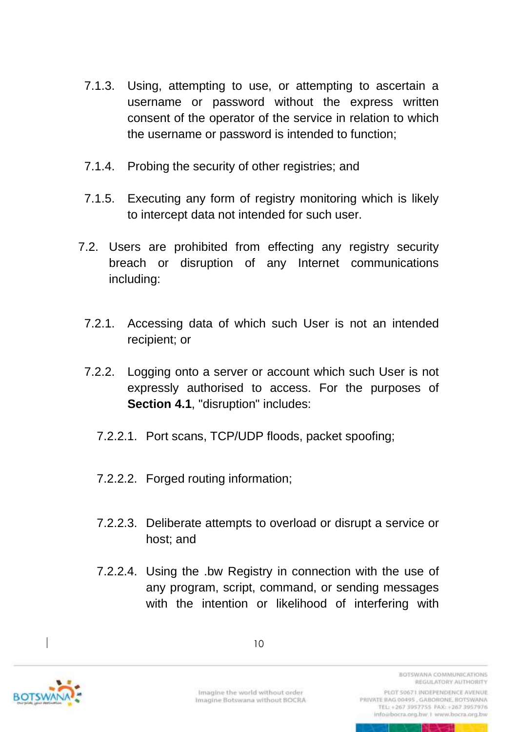- 7.1.3. Using, attempting to use, or attempting to ascertain a username or password without the express written consent of the operator of the service in relation to which the username or password is intended to function;
- 7.1.4. Probing the security of other registries; and
- 7.1.5. Executing any form of registry monitoring which is likely to intercept data not intended for such user.
- 7.2. Users are prohibited from effecting any registry security breach or disruption of any Internet communications including:
	- 7.2.1. Accessing data of which such User is not an intended recipient; or
	- 7.2.2. Logging onto a server or account which such User is not expressly authorised to access. For the purposes of **Section 4.1**, "disruption" includes:
		- 7.2.2.1. Port scans, TCP/UDP floods, packet spoofing;
		- 7.2.2.2. Forged routing information;
		- 7.2.2.3. Deliberate attempts to overload or disrupt a service or host; and
		- 7.2.2.4. Using the .bw Registry in connection with the use of any program, script, command, or sending messages with the intention or likelihood of interfering with



10

Imagine the world without order Imagine Botswana without BOCRA

PLOT 50671 INDEPENDENCE AVENUE PRIVATE BAG 00495, GABORONE, BOTSWANA TEL: +267 3957755 FAX: +267 3957976 info@bocra.org.bw.1 www.bocra.org.bw

**BOTSWANA COMMUNICATIONS** REGULATORY AUTHORITY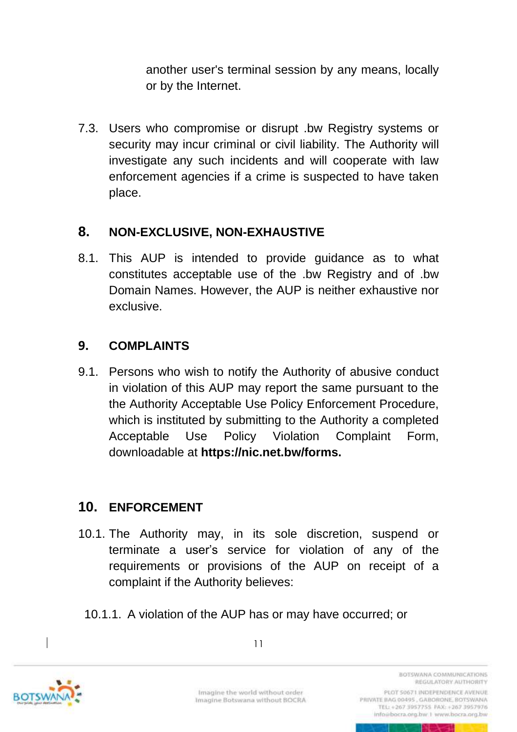another user's terminal session by any means, locally or by the Internet.

7.3. Users who compromise or disrupt .bw Registry systems or security may incur criminal or civil liability. The Authority will investigate any such incidents and will cooperate with law enforcement agencies if a crime is suspected to have taken place.

## <span id="page-15-0"></span>**8. NON-EXCLUSIVE, NON-EXHAUSTIVE**

8.1. This AUP is intended to provide guidance as to what constitutes acceptable use of the .bw Registry and of .bw Domain Names. However, the AUP is neither exhaustive nor exclusive.

# <span id="page-15-1"></span>**9. COMPLAINTS**

9.1. Persons who wish to notify the Authority of abusive conduct in violation of this AUP may report the same pursuant to the the Authority Acceptable Use Policy Enforcement Procedure, which is instituted by submitting to the Authority a completed Acceptable Use Policy Violation Complaint Form, downloadable at **[https://nic.net.bw/forms.](https://nic.net.bw/forms)**

# <span id="page-15-2"></span>**10. ENFORCEMENT**

- 10.1. The Authority may, in its sole discretion, suspend or terminate a user's service for violation of any of the requirements or provisions of the AUP on receipt of a complaint if the Authority believes:
	- 10.1.1. A violation of the AUP has or may have occurred; or



11

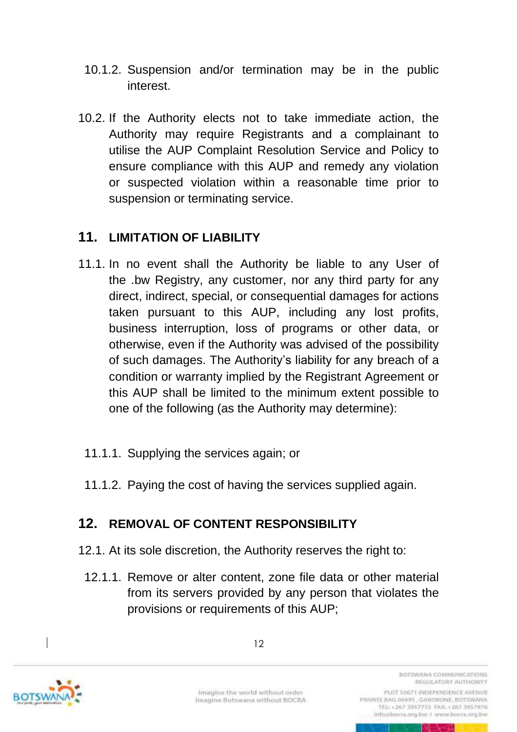- 10.1.2. Suspension and/or termination may be in the public interest.
- 10.2. If the Authority elects not to take immediate action, the Authority may require Registrants and a complainant to utilise the AUP Complaint Resolution Service and Policy to ensure compliance with this AUP and remedy any violation or suspected violation within a reasonable time prior to suspension or terminating service.

### <span id="page-16-0"></span>**11. LIMITATION OF LIABILITY**

11.1. In no event shall the Authority be liable to any User of the .bw Registry, any customer, nor any third party for any direct, indirect, special, or consequential damages for actions taken pursuant to this AUP, including any lost profits, business interruption, loss of programs or other data, or otherwise, even if the Authority was advised of the possibility of such damages. The Authority's liability for any breach of a condition or warranty implied by the Registrant Agreement or this AUP shall be limited to the minimum extent possible to one of the following (as the Authority may determine):

#### 11.1.1. Supplying the services again; or

11.1.2. Paying the cost of having the services supplied again.

# <span id="page-16-1"></span>**12. REMOVAL OF CONTENT RESPONSIBILITY**

- 12.1. At its sole discretion, the Authority reserves the right to:
	- 12.1.1. Remove or alter content, zone file data or other material from its servers provided by any person that violates the provisions or requirements of this AUP;



Imagine the world without order Imagine Botswana without BOCRA

REGULATORY AUTHORITY PLOT 50671 INDEPENDENCE AVENUE PRIVATE BAG 00495, GABORONE, BOTSWANA TEL: +267 3957755 FAX: +267 3957976 info@bocra.org.bw.1 www.bocra.org.bw